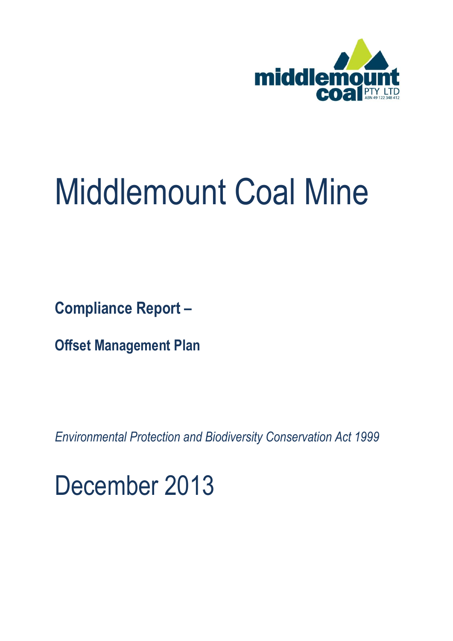

## Middlemount Coal Mine

**Compliance Report –**

**Offset Management Plan**

*Environmental Protection and Biodiversity Conservation Act 1999*

December 2013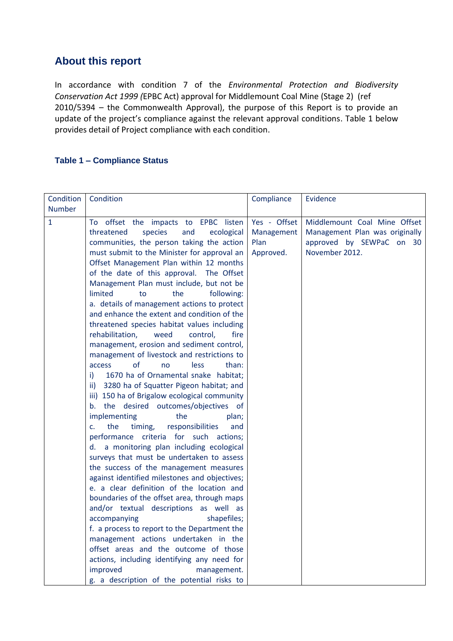## **About this report**

In accordance with condition 7 of the *Environmental Protection and Biodiversity Conservation Act 1999 (*EPBC Act) approval for Middlemount Coal Mine (Stage 2) (ref 2010/5394 – the Commonwealth Approval), the purpose of this Report is to provide an update of the project's compliance against the relevant approval conditions. Table 1 below provides detail of Project compliance with each condition.

## **Table 1 – Compliance Status**

| Condition     | Condition                                                                                                                                                                                                                                                                                                                                                                                                                                                                                                                                                                                                                                                                                                                                                                                                                                                                                                                                                                                                                                                                                                                                                                                                                                                                                                                                                                          | Compliance                                      | Evidence                                                                                                     |
|---------------|------------------------------------------------------------------------------------------------------------------------------------------------------------------------------------------------------------------------------------------------------------------------------------------------------------------------------------------------------------------------------------------------------------------------------------------------------------------------------------------------------------------------------------------------------------------------------------------------------------------------------------------------------------------------------------------------------------------------------------------------------------------------------------------------------------------------------------------------------------------------------------------------------------------------------------------------------------------------------------------------------------------------------------------------------------------------------------------------------------------------------------------------------------------------------------------------------------------------------------------------------------------------------------------------------------------------------------------------------------------------------------|-------------------------------------------------|--------------------------------------------------------------------------------------------------------------|
| <b>Number</b> |                                                                                                                                                                                                                                                                                                                                                                                                                                                                                                                                                                                                                                                                                                                                                                                                                                                                                                                                                                                                                                                                                                                                                                                                                                                                                                                                                                                    |                                                 |                                                                                                              |
| $\mathbf{1}$  | To offset the impacts to EPBC listen<br>threatened<br>species<br>and<br>ecological<br>communities, the person taking the action<br>must submit to the Minister for approval an<br>Offset Management Plan within 12 months<br>of the date of this approval. The Offset<br>Management Plan must include, but not be<br>limited<br>the<br>following:<br>to<br>a. details of management actions to protect<br>and enhance the extent and condition of the<br>threatened species habitat values including<br>rehabilitation,<br>weed<br>control,<br>fire<br>management, erosion and sediment control,<br>management of livestock and restrictions to<br>of<br>access<br>less<br>than:<br>no<br>1670 ha of Ornamental snake habitat;<br>i)<br>3280 ha of Squatter Pigeon habitat; and<br>ii)<br>iii) 150 ha of Brigalow ecological community<br>b. the desired outcomes/objectives of<br>implementing<br>the<br>plan;<br>the<br>responsibilities<br>C <sub>1</sub><br>timing,<br>and<br>performance criteria for such actions;<br>d. a monitoring plan including ecological<br>surveys that must be undertaken to assess<br>the success of the management measures<br>against identified milestones and objectives;<br>e. a clear definition of the location and<br>boundaries of the offset area, through maps<br>and/or textual descriptions as well as<br>accompanying<br>shapefiles; | Yes - Offset<br>Management<br>Plan<br>Approved. | Middlemount Coal Mine Offset<br>Management Plan was originally<br>approved by SEWPaC on 30<br>November 2012. |
|               | f. a process to report to the Department the                                                                                                                                                                                                                                                                                                                                                                                                                                                                                                                                                                                                                                                                                                                                                                                                                                                                                                                                                                                                                                                                                                                                                                                                                                                                                                                                       |                                                 |                                                                                                              |
|               | management actions undertaken in the                                                                                                                                                                                                                                                                                                                                                                                                                                                                                                                                                                                                                                                                                                                                                                                                                                                                                                                                                                                                                                                                                                                                                                                                                                                                                                                                               |                                                 |                                                                                                              |
|               | offset areas and the outcome of those                                                                                                                                                                                                                                                                                                                                                                                                                                                                                                                                                                                                                                                                                                                                                                                                                                                                                                                                                                                                                                                                                                                                                                                                                                                                                                                                              |                                                 |                                                                                                              |
|               | actions, including identifying any need for                                                                                                                                                                                                                                                                                                                                                                                                                                                                                                                                                                                                                                                                                                                                                                                                                                                                                                                                                                                                                                                                                                                                                                                                                                                                                                                                        |                                                 |                                                                                                              |
|               | improved<br>management.<br>g. a description of the potential risks to                                                                                                                                                                                                                                                                                                                                                                                                                                                                                                                                                                                                                                                                                                                                                                                                                                                                                                                                                                                                                                                                                                                                                                                                                                                                                                              |                                                 |                                                                                                              |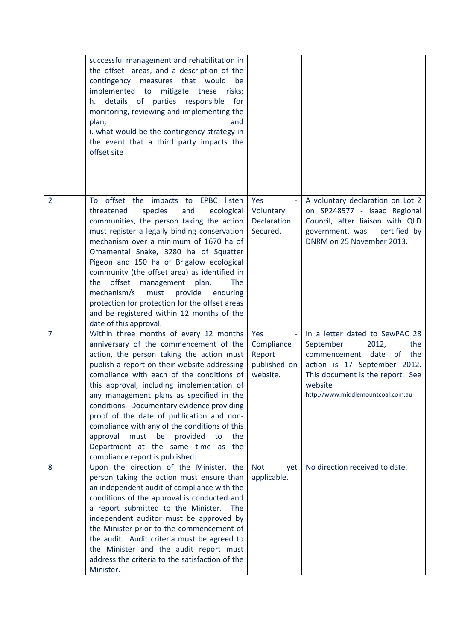|                | successful management and rehabilitation in<br>the offset areas, and a description of the<br>contingency<br>measures that would<br>be<br>implemented to mitigate these risks;<br>h. details of parties responsible<br>for<br>monitoring, reviewing and implementing the<br>plan;<br>and<br>i. what would be the contingency strategy in<br>the event that a third party impacts the<br>offset site                                                                                                                                                                                          |                                                               |                                                                                                                                                                                                                                 |
|----------------|---------------------------------------------------------------------------------------------------------------------------------------------------------------------------------------------------------------------------------------------------------------------------------------------------------------------------------------------------------------------------------------------------------------------------------------------------------------------------------------------------------------------------------------------------------------------------------------------|---------------------------------------------------------------|---------------------------------------------------------------------------------------------------------------------------------------------------------------------------------------------------------------------------------|
| 2              | To offset the impacts to EPBC listen<br>threatened<br>species<br>and<br>ecological<br>communities, the person taking the action<br>must register a legally binding conservation<br>mechanism over a minimum of 1670 ha of<br>Ornamental Snake, 3280 ha of Squatter<br>Pigeon and 150 ha of Brigalow ecological<br>community (the offset area) as identified in<br>offset<br>management<br>the<br>plan.<br><b>The</b><br>mechanism/s<br>must<br>provide<br>enduring<br>protection for protection for the offset areas<br>and be registered within 12 months of the<br>date of this approval. | Yes<br>Voluntary<br><b>Declaration</b><br>Secured.            | A voluntary declaration on Lot 2<br>on SP248577 - Isaac Regional<br>Council, after liaison with QLD<br>government, was<br>certified by<br>DNRM on 25 November 2013.                                                             |
| $\overline{7}$ | Within three months of every 12 months<br>anniversary of the commencement of the<br>action, the person taking the action must<br>publish a report on their website addressing<br>compliance with each of the conditions of<br>this approval, including implementation of<br>any management plans as specified in the<br>conditions. Documentary evidence providing<br>proof of the date of publication and non-<br>compliance with any of the conditions of this<br>must be<br>provided<br>approval<br>to<br>the<br>Department at the same time as the<br>compliance report is published.   | Yes<br>ä,<br>Compliance<br>Report<br>published on<br>website. | In a letter dated to SewPAC 28<br>September<br>the<br>2012,<br>the<br>date<br><sub>of</sub><br>commencement<br>action is 17 September 2012.<br>This document is the report. See<br>website<br>http://www.middlemountcoal.com.au |
| 8              | Upon the direction of the Minister, the<br>person taking the action must ensure than<br>an independent audit of compliance with the<br>conditions of the approval is conducted and<br>a report submitted to the Minister.<br>The<br>independent auditor must be approved by<br>the Minister prior to the commencement of<br>the audit. Audit criteria must be agreed to<br>the Minister and the audit report must<br>address the criteria to the satisfaction of the<br>Minister.                                                                                                           | <b>Not</b><br>yet<br>applicable.                              | No direction received to date.                                                                                                                                                                                                  |